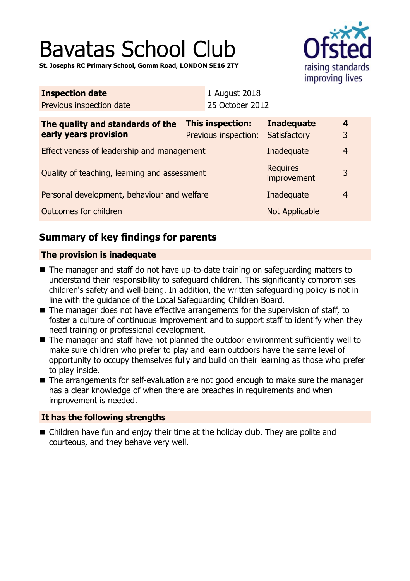# Bavatas School Club

**St. Josephs RC Primary School, Gomm Road, LONDON SE16 2TY**



| <b>Inspection date</b>                                    |  | 1 August 2018                            |                                   |                              |  |
|-----------------------------------------------------------|--|------------------------------------------|-----------------------------------|------------------------------|--|
| Previous inspection date                                  |  | 25 October 2012                          |                                   |                              |  |
| The quality and standards of the<br>early years provision |  | This inspection:<br>Previous inspection: | <b>Inadequate</b><br>Satisfactory | $\overline{\mathbf{4}}$<br>3 |  |
| Effectiveness of leadership and management                |  |                                          | Inadequate                        | $\overline{4}$               |  |
| Quality of teaching, learning and assessment              |  |                                          | <b>Requires</b><br>improvement    | 3                            |  |
| Personal development, behaviour and welfare               |  |                                          | Inadequate                        | $\overline{4}$               |  |
| Outcomes for children                                     |  |                                          | <b>Not Applicable</b>             |                              |  |
|                                                           |  |                                          |                                   |                              |  |

# **Summary of key findings for parents**

## **The provision is inadequate**

- $\blacksquare$  The manager and staff do not have up-to-date training on safeguarding matters to understand their responsibility to safeguard children. This significantly compromises children's safety and well-being. In addition, the written safeguarding policy is not in line with the guidance of the Local Safeguarding Children Board.
- $\blacksquare$  The manager does not have effective arrangements for the supervision of staff, to foster a culture of continuous improvement and to support staff to identify when they need training or professional development.
- The manager and staff have not planned the outdoor environment sufficiently well to make sure children who prefer to play and learn outdoors have the same level of opportunity to occupy themselves fully and build on their learning as those who prefer to play inside.
- The arrangements for self-evaluation are not good enough to make sure the manager has a clear knowledge of when there are breaches in requirements and when improvement is needed.

## **It has the following strengths**

 $\blacksquare$  Children have fun and enjoy their time at the holiday club. They are polite and courteous, and they behave very well.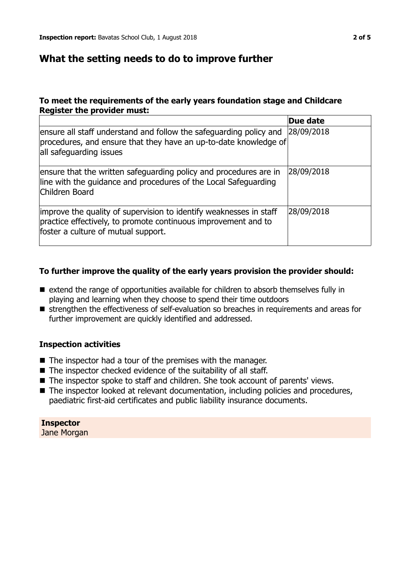## **What the setting needs to do to improve further**

#### **To meet the requirements of the early years foundation stage and Childcare Register the provider must:**

|                                                                                                                                                                             | Due date   |
|-----------------------------------------------------------------------------------------------------------------------------------------------------------------------------|------------|
| ensure all staff understand and follow the safeguarding policy and<br>procedures, and ensure that they have an up-to-date knowledge of<br>all safeguarding issues           | 28/09/2018 |
| ensure that the written safeguarding policy and procedures are in<br>line with the guidance and procedures of the Local Safeguarding<br>Children Board                      | 28/09/2018 |
| improve the quality of supervision to identify weaknesses in staff<br>practice effectively, to promote continuous improvement and to<br>foster a culture of mutual support. | 28/09/2018 |

#### **To further improve the quality of the early years provision the provider should:**

- $\blacksquare$  extend the range of opportunities available for children to absorb themselves fully in playing and learning when they choose to spend their time outdoors
- strengthen the effectiveness of self-evaluation so breaches in requirements and areas for further improvement are quickly identified and addressed.

#### **Inspection activities**

- $\blacksquare$  The inspector had a tour of the premises with the manager.
- $\blacksquare$  The inspector checked evidence of the suitability of all staff.
- The inspector spoke to staff and children. She took account of parents' views.
- $\blacksquare$  The inspector looked at relevant documentation, including policies and procedures, paediatric first-aid certificates and public liability insurance documents.

**Inspector** Jane Morgan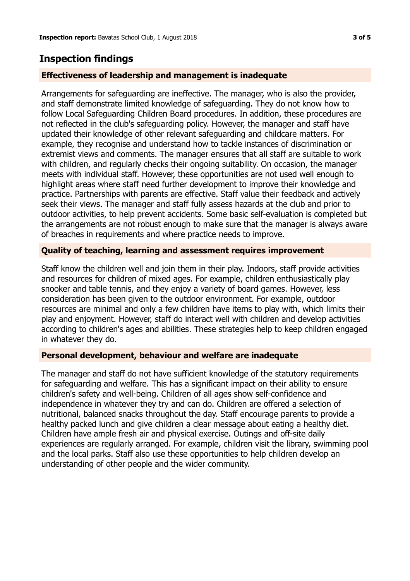# **Inspection findings**

#### **Effectiveness of leadership and management is inadequate**

Arrangements for safeguarding are ineffective. The manager, who is also the provider, and staff demonstrate limited knowledge of safeguarding. They do not know how to follow Local Safeguarding Children Board procedures. In addition, these procedures are not reflected in the club's safeguarding policy. However, the manager and staff have updated their knowledge of other relevant safeguarding and childcare matters. For example, they recognise and understand how to tackle instances of discrimination or extremist views and comments. The manager ensures that all staff are suitable to work with children, and regularly checks their ongoing suitability. On occasion, the manager meets with individual staff. However, these opportunities are not used well enough to highlight areas where staff need further development to improve their knowledge and practice. Partnerships with parents are effective. Staff value their feedback and actively seek their views. The manager and staff fully assess hazards at the club and prior to outdoor activities, to help prevent accidents. Some basic self-evaluation is completed but the arrangements are not robust enough to make sure that the manager is always aware of breaches in requirements and where practice needs to improve.

#### **Quality of teaching, learning and assessment requires improvement**

Staff know the children well and join them in their play. Indoors, staff provide activities and resources for children of mixed ages. For example, children enthusiastically play snooker and table tennis, and they enjoy a variety of board games. However, less consideration has been given to the outdoor environment. For example, outdoor resources are minimal and only a few children have items to play with, which limits their play and enjoyment. However, staff do interact well with children and develop activities according to children's ages and abilities. These strategies help to keep children engaged in whatever they do.

#### **Personal development, behaviour and welfare are inadequate**

The manager and staff do not have sufficient knowledge of the statutory requirements for safeguarding and welfare. This has a significant impact on their ability to ensure children's safety and well-being. Children of all ages show self-confidence and independence in whatever they try and can do. Children are offered a selection of nutritional, balanced snacks throughout the day. Staff encourage parents to provide a healthy packed lunch and give children a clear message about eating a healthy diet. Children have ample fresh air and physical exercise. Outings and off-site daily experiences are regularly arranged. For example, children visit the library, swimming pool and the local parks. Staff also use these opportunities to help children develop an understanding of other people and the wider community.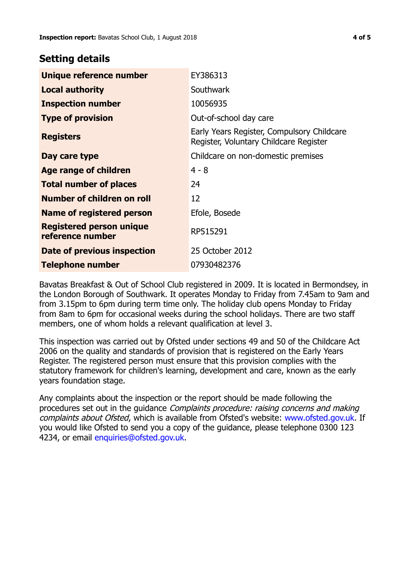## **Setting details**

| Unique reference number                             | EY386313                                                                             |
|-----------------------------------------------------|--------------------------------------------------------------------------------------|
| <b>Local authority</b>                              | Southwark                                                                            |
| <b>Inspection number</b>                            | 10056935                                                                             |
| <b>Type of provision</b>                            | Out-of-school day care                                                               |
| <b>Registers</b>                                    | Early Years Register, Compulsory Childcare<br>Register, Voluntary Childcare Register |
| Day care type                                       | Childcare on non-domestic premises                                                   |
| Age range of children                               | $4 - 8$                                                                              |
| <b>Total number of places</b>                       | 24                                                                                   |
| Number of children on roll                          | 12                                                                                   |
| Name of registered person                           | Efole, Bosede                                                                        |
| <b>Registered person unique</b><br>reference number | RP515291                                                                             |
| Date of previous inspection                         | 25 October 2012                                                                      |
| Telephone number                                    | 07930482376                                                                          |

Bavatas Breakfast & Out of School Club registered in 2009. It is located in Bermondsey, in the London Borough of Southwark. It operates Monday to Friday from 7.45am to 9am and from 3.15pm to 6pm during term time only. The holiday club opens Monday to Friday from 8am to 6pm for occasional weeks during the school holidays. There are two staff members, one of whom holds a relevant qualification at level 3.

This inspection was carried out by Ofsted under sections 49 and 50 of the Childcare Act 2006 on the quality and standards of provision that is registered on the Early Years Register. The registered person must ensure that this provision complies with the statutory framework for children's learning, development and care, known as the early years foundation stage.

Any complaints about the inspection or the report should be made following the procedures set out in the guidance Complaints procedure: raising concerns and making complaints about Ofsted, which is available from Ofsted's website: www.ofsted.gov.uk. If you would like Ofsted to send you a copy of the guidance, please telephone 0300 123 4234, or email [enquiries@ofsted.gov.uk.](mailto:enquiries@ofsted.gov.uk)